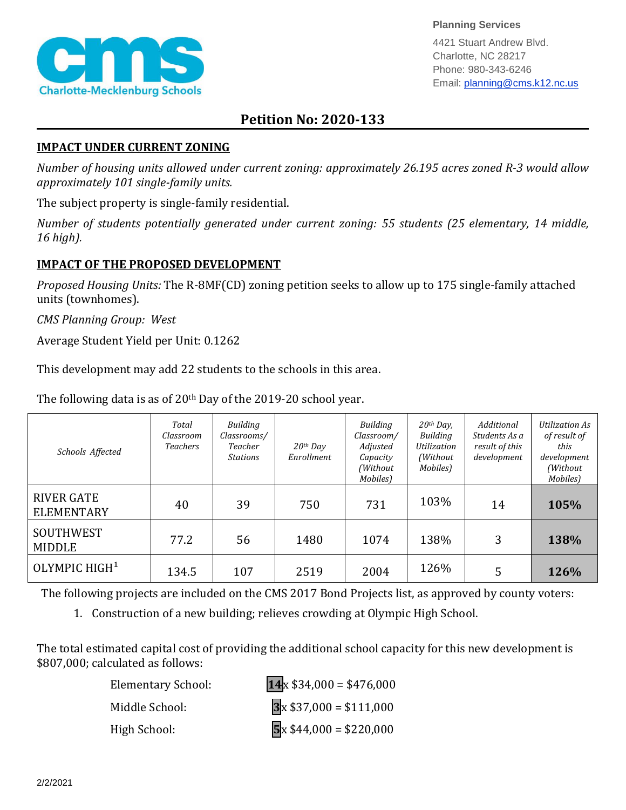

**Planning Services**

4421 Stuart Andrew Blvd. Charlotte, NC 28217 Phone: 980-343-6246 Email: planning@cms.k12.nc.us

## **Petition No: 2020-133**

## **IMPACT UNDER CURRENT ZONING**

*Number of housing units allowed under current zoning: approximately 26.195 acres zoned R-3 would allow approximately 101 single-family units.*

The subject property is single-family residential.

*Number of students potentially generated under current zoning: 55 students (25 elementary, 14 middle, 16 high).*

## **IMPACT OF THE PROPOSED DEVELOPMENT**

*Proposed Housing Units:* The R-8MF(CD) zoning petition seeks to allow up to 175 single-family attached units (townhomes).

*CMS Planning Group: West*

Average Student Yield per Unit: 0.1262

This development may add 22 students to the schools in this area.

The following data is as of  $20<sup>th</sup>$  Day of the 2019-20 school year.

| Schools Affected                          | Total<br>Classroom<br><b>Teachers</b> | Building<br>Classrooms/<br>Teacher<br><b>Stations</b> | $20th$ Day<br>Enrollment | Building<br>Classroom/<br>Adjusted<br>Capacity<br>(Without<br>Mobiles) | $20th$ Day,<br><b>Building</b><br>Utilization<br>(Without)<br>Mobiles) | Additional<br>Students As a<br>result of this<br>development | Utilization As<br>of result of<br>this<br>development<br>(Without)<br>Mobiles) |
|-------------------------------------------|---------------------------------------|-------------------------------------------------------|--------------------------|------------------------------------------------------------------------|------------------------------------------------------------------------|--------------------------------------------------------------|--------------------------------------------------------------------------------|
| <b>RIVER GATE</b><br><b>ELEMENTARY</b>    | 40                                    | 39                                                    | 750                      | 731                                                                    | 103%                                                                   | 14                                                           | 105%                                                                           |
| <b>SOUTHWEST</b><br>77.2<br><b>MIDDLE</b> |                                       | 56                                                    | 1480                     | 1074                                                                   | 138%                                                                   | 3                                                            | 138%                                                                           |
| OLYMPIC HIGH <sup>1</sup>                 | 134.5                                 | 107                                                   | 2519                     | 2004                                                                   | 126%                                                                   | 5                                                            | 126%                                                                           |

The following projects are included on the CMS 2017 Bond Projects list, as approved by county voters:

1. Construction of a new building; relieves crowding at Olympic High School.

The total estimated capital cost of providing the additional school capacity for this new development is \$807,000; calculated as follows:

| <b>Elementary School:</b> | $14 \times $34,000 = $476,000$ |
|---------------------------|--------------------------------|
| Middle School:            | $3x $37,000 = $111,000$        |
| High School:              | $5x $44,000 = $220,000$        |